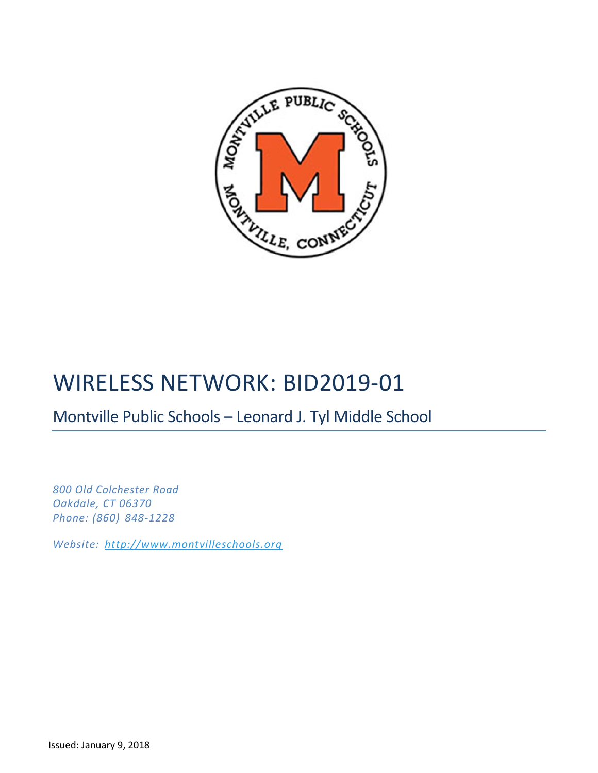

# WIRELESS NETWORK: BID2019-01

## Montville Public Schools – Leonard J. Tyl Middle School

*800 Old Colchester Road Oakdale, CT 06370 Phone: (860) 848-1228*

*Website: [http://www.montvilleschools.org](http://www.montvilleschools.org/)*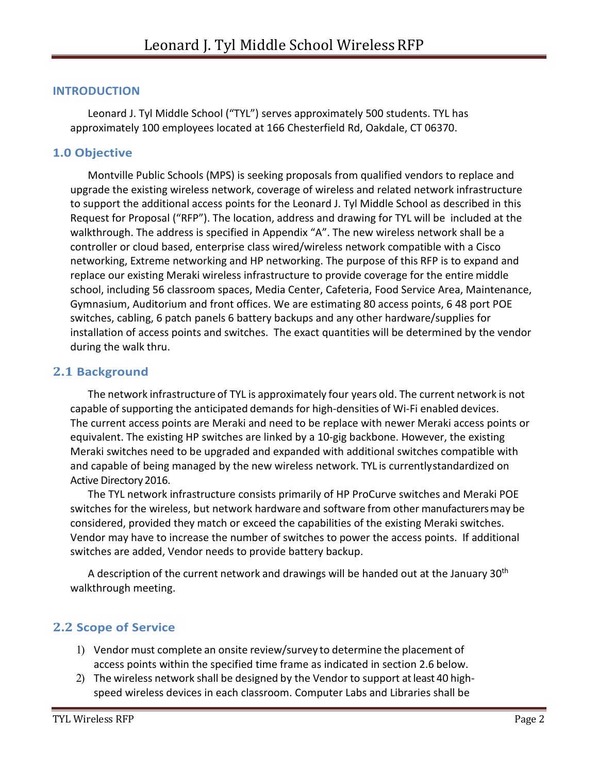#### **INTRODUCTION**

Leonard J. Tyl Middle School ("TYL") serves approximately 500 students. TYL has approximately 100 employees located at 166 Chesterfield Rd, Oakdale, CT 06370.

#### **1.0 Objective**

Montville Public Schools (MPS) is seeking proposals from qualified vendors to replace and upgrade the existing wireless network, coverage of wireless and related network infrastructure to support the additional access points for the Leonard J. Tyl Middle School as described in this Request for Proposal ("RFP"). The location, address and drawing for TYL will be included at the walkthrough. The address is specified in Appendix "A". The new wireless network shall be a controller or cloud based, enterprise class wired/wireless network compatible with a Cisco networking, Extreme networking and HP networking. The purpose of this RFP is to expand and replace our existing Meraki wireless infrastructure to provide coverage for the entire middle school, including 56 classroom spaces, Media Center, Cafeteria, Food Service Area, Maintenance, Gymnasium, Auditorium and front offices. We are estimating 80 access points, 6 48 port POE switches, cabling, 6 patch panels 6 battery backups and any other hardware/supplies for installation of access points and switches. The exact quantities will be determined by the vendor during the walk thru.

#### **2.1 Background**

The network infrastructure of TYL is approximately four years old. The current network is not capable of supporting the anticipated demands for high-densities of Wi-Fi enabled devices. The current access points are Meraki and need to be replace with newer Meraki access points or equivalent. The existing HP switches are linked by a 10-gig backbone. However, the existing Meraki switches need to be upgraded and expanded with additional switches compatible with and capable of being managed by the new wireless network. TYL is currentlystandardized on Active Directory 2016.

The TYL network infrastructure consists primarily of HP ProCurve switches and Meraki POE switches for the wireless, but network hardware and software from other manufacturersmay be considered, provided they match or exceed the capabilities of the existing Meraki switches. Vendor may have to increase the number of switches to power the access points. If additional switches are added, Vendor needs to provide battery backup.

A description of the current network and drawings will be handed out at the January  $30<sup>th</sup>$ walkthrough meeting.

#### **2.2 Scope of Service**

- 1) Vendor must complete an onsite review/survey to determine the placement of access points within the specified time frame as indicated in section 2.6 below.
- 2) The wireless network shall be designed by the Vendor to support atleast 40 highspeed wireless devices in each classroom. Computer Labs and Libraries shall be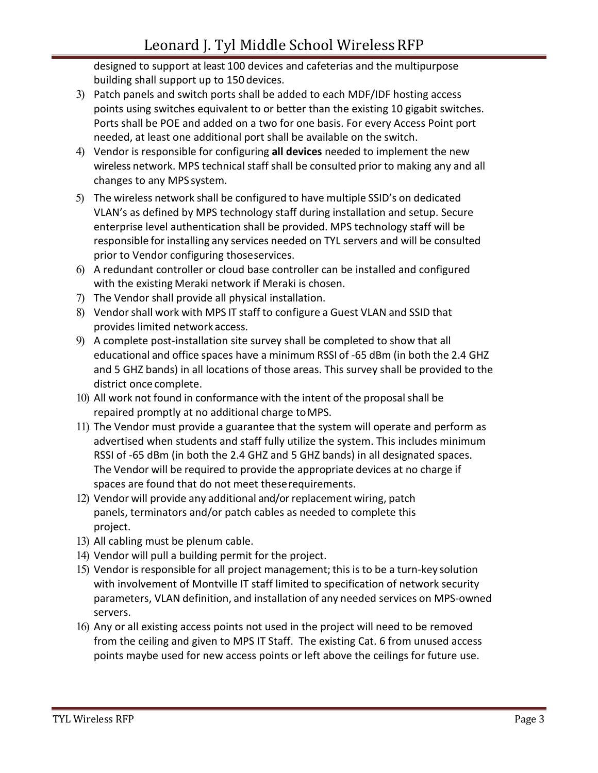designed to support at least 100 devices and cafeterias and the multipurpose building shall support up to 150 devices.

- 3) Patch panels and switch ports shall be added to each MDF/IDF hosting access points using switches equivalent to or better than the existing 10 gigabit switches. Ports shall be POE and added on a two for one basis. For every Access Point port needed, at least one additional port shall be available on the switch.
- 4) Vendor is responsible for configuring **all devices** needed to implement the new wireless network. MPS technical staff shall be consulted prior to making any and all changes to any MPS system.
- 5) The wireless network shall be configured to have multiple SSID's on dedicated VLAN's as defined by MPS technology staff during installation and setup. Secure enterprise level authentication shall be provided. MPS technology staff will be responsible for installing any services needed on TYL servers and will be consulted prior to Vendor configuring thoseservices.
- 6) A redundant controller or cloud base controller can be installed and configured with the existing Meraki network if Meraki is chosen.
- 7) The Vendor shall provide all physical installation.
- 8) Vendorshall work with MPS IT staff to configure a Guest VLAN and SSID that provides limited network access.
- 9) A complete post-installation site survey shall be completed to show that all educational and office spaces have a minimum RSSI of -65 dBm (in both the 2.4 GHZ and 5 GHZ bands) in all locations of those areas. This survey shall be provided to the district once complete.
- 10) All work not found in conformance with the intent of the proposal shall be repaired promptly at no additional charge toMPS.
- 11) The Vendor must provide a guarantee that the system will operate and perform as advertised when students and staff fully utilize the system. This includes minimum RSSI of -65 dBm (in both the 2.4 GHZ and 5 GHZ bands) in all designated spaces. The Vendor will be required to provide the appropriate devices at no charge if spaces are found that do not meet theserequirements.
- 12) Vendor will provide any additional and/or replacement wiring, patch panels, terminators and/or patch cables as needed to complete this project.
- 13) All cabling must be plenum cable.
- 14) Vendor will pull a building permit for the project.
- 15) Vendor is responsible for all project management; this is to be a turn-key solution with involvement of Montville IT staff limited to specification of network security parameters, VLAN definition, and installation of any needed services on MPS-owned servers.
- 16) Any or all existing access points not used in the project will need to be removed from the ceiling and given to MPS IT Staff. The existing Cat. 6 from unused access points maybe used for new access points or left above the ceilings for future use.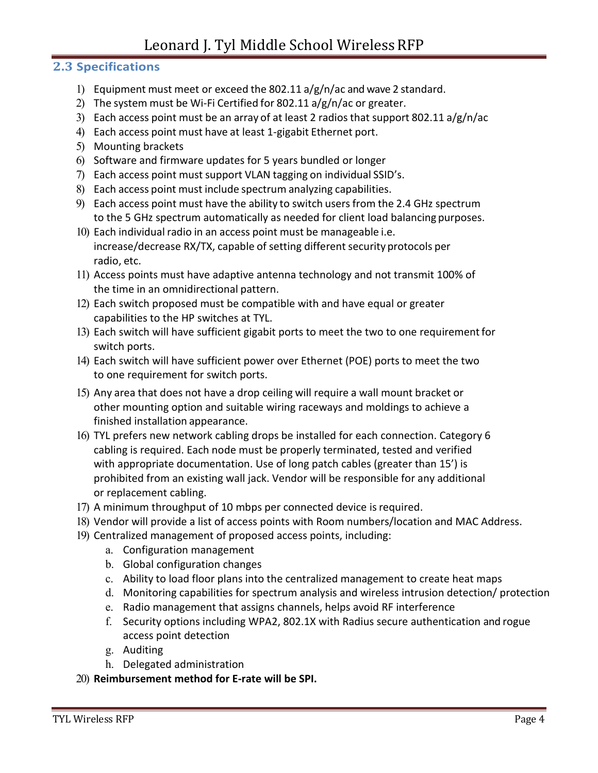## Leonard J. Tyl Middle School Wireless RFP

## **2.3 Specifications**

- 1) Equipment must meet or exceed the 802.11 a/g/n/ac and wave 2 standard.
- 2) The system must be Wi-Fi Certified for 802.11 a/g/n/ac or greater.
- 3) Each access point must be an array of at least 2 radiosthat support 802.11 a/g/n/ac
- 4) Each access point must have at least 1-gigabit Ethernet port.
- 5) Mounting brackets
- 6) Software and firmware updates for 5 years bundled or longer
- 7) Each access point must support VLAN tagging on individual SSID's.
- 8) Each access point must include spectrum analyzing capabilities.
- 9) Each access point must have the ability to switch users from the 2.4 GHz spectrum to the 5 GHz spectrum automatically as needed for client load balancing purposes.
- 10) Each individual radio in an access point must be manageable i.e. increase/decrease RX/TX, capable of setting different security protocols per radio, etc.
- 11) Access points must have adaptive antenna technology and not transmit 100% of the time in an omnidirectional pattern.
- 12) Each switch proposed must be compatible with and have equal or greater capabilities to the HP switches at TYL.
- 13) Each switch will have sufficient gigabit ports to meet the two to one requirementfor switch ports.
- 14) Each switch will have sufficient power over Ethernet (POE) ports to meet the two to one requirement for switch ports.
- 15) Any area that does not have a drop ceiling will require a wall mount bracket or other mounting option and suitable wiring raceways and moldings to achieve a finished installation appearance.
- 16) TYL prefers new network cabling drops be installed for each connection. Category 6 cabling is required. Each node must be properly terminated, tested and verified with appropriate documentation. Use of long patch cables (greater than 15') is prohibited from an existing wall jack. Vendor will be responsible for any additional or replacement cabling.
- 17) A minimum throughput of 10 mbps per connected device is required.
- 18) Vendor will provide a list of access points with Room numbers/location and MAC Address.
- 19) Centralized management of proposed access points, including:
	- a. Configuration management
	- b. Global configuration changes
	- c. Ability to load floor plans into the centralized management to create heat maps
	- d. Monitoring capabilities for spectrum analysis and wireless intrusion detection/ protection
	- e. Radio management that assigns channels, helps avoid RF interference
	- f. Security options including WPA2, 802.1X with Radius secure authentication and rogue access point detection
	- g. Auditing
	- h. Delegated administration

20) **Reimbursement method for E-rate will be SPI.**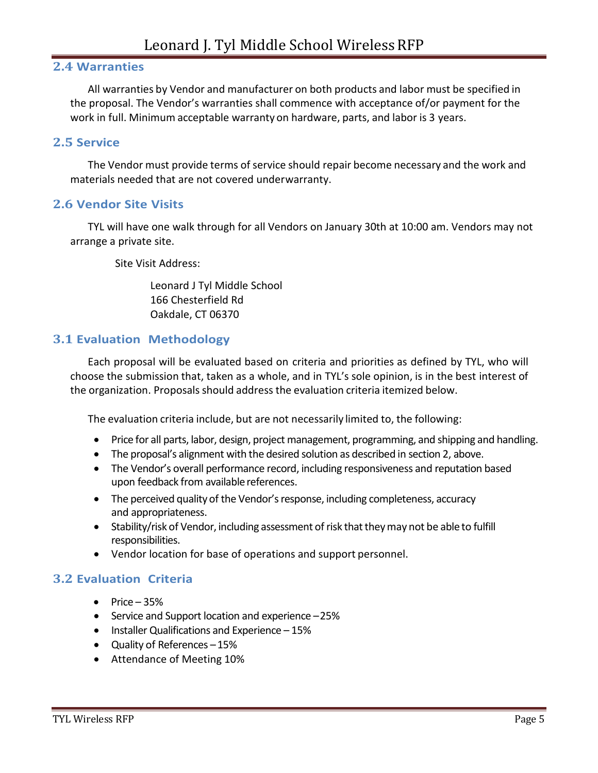## **2.4 Warranties**

All warranties by Vendor and manufacturer on both products and labor must be specified in the proposal. The Vendor's warranties shall commence with acceptance of/or payment for the work in full. Minimum acceptable warranty on hardware, parts, and labor is 3 years.

#### **2.5 Service**

The Vendor must provide terms of service should repair become necessary and the work and materials needed that are not covered underwarranty.

#### **2.6 Vendor Site Visits**

TYL will have one walk through for all Vendors on January 30th at 10:00 am. Vendors may not arrange a private site.

Site Visit Address:

Leonard J Tyl Middle School 166 Chesterfield Rd Oakdale, CT 06370

#### **3.1 Evaluation Methodology**

Each proposal will be evaluated based on criteria and priorities as defined by TYL, who will choose the submission that, taken as a whole, and in TYL's sole opinion, is in the best interest of the organization. Proposals should address the evaluation criteria itemized below.

The evaluation criteria include, but are not necessarily limited to, the following:

- Price for all parts, labor, design, project management, programming, and shipping and handling.
- The proposal's alignment with the desired solution as described in section 2, above.
- The Vendor's overall performance record, including responsiveness and reputation based upon feedback from available references.
- The perceived quality of the Vendor's response, including completeness, accuracy and appropriateness.
- Stability/risk of Vendor, including assessment of risk that they may not be able to fulfill responsibilities.
- Vendor location for base of operations and support personnel.

#### **3.2 Evaluation Criteria**

- $\bullet$  Price 35%
- Service and Support location and experience –25%
- Installer Qualifications and Experience 15%
- Quality of References –15%
- Attendance of Meeting 10%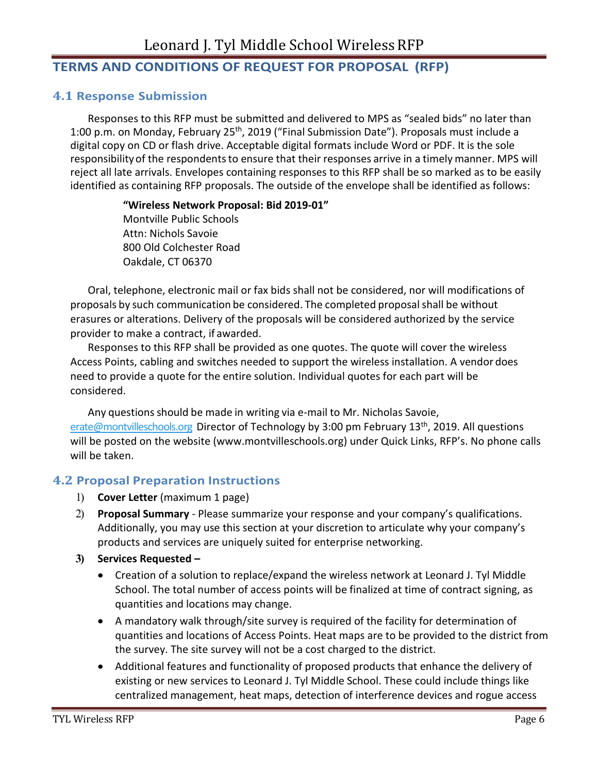## **TERMS AND CONDITIONS OF REQUEST FOR PROPOSAL (RFP)**

#### **4.1 Response Submission**

Responses to this RFP must be submitted and delivered to MPS as "sealed bids" no later than 1:00 p.m. on Monday, February 25<sup>th</sup>, 2019 ("Final Submission Date"). Proposals must include a digital copy on CD or flash drive. Acceptable digital formats include Word or PDF. It is the sole responsibility of the respondents to ensure that their responses arrive in a timely manner. MPS will reject all late arrivals. Envelopes containing responses to this RFP shall be so marked as to be easily identified as containing RFP proposals. The outside of the envelope shall be identified as follows:

> **"Wireless Network Proposal: Bid 2019-01"** Montville Public Schools Attn: Nichols Savoie 800 Old Colchester Road Oakdale, CT 06370

Oral, telephone, electronic mail or fax bids shall not be considered, nor will modifications of proposals by such communication be considered. The completed proposalshall be without erasures or alterations. Delivery of the proposals will be considered authorized by the service provider to make a contract, if awarded.

Responses to this RFP shall be provided as one quotes. The quote will cover the wireless Access Points, cabling and switches needed to support the wireless installation. A vendor does need to provide a quote for the entire solution. Individual quotes for each part will be considered.

Any questions should be made in writing via e-mail to Mr. Nicholas Savoie, [erate@montvilleschools.org](mailto:erate@montvilleschools.org) Director of Technology by 3:00 pm February 13<sup>th</sup>, 2019. All questions will be posted on the website (www.montvilleschools.org) under Quick Links, RFP's. No phone calls will be taken.

#### **4.2 Proposal Preparation Instructions**

- 1) **Cover Letter** (maximum 1 page)
- 2) **Proposal Summary** Please summarize your response and your company's qualifications. Additionally, you may use this section at your discretion to articulate why your company's products and services are uniquely suited for enterprise networking.
- **3) Services Requested –**
	- Creation of a solution to replace/expand the wireless network at Leonard J. Tyl Middle School. The total number of access points will be finalized at time of contract signing, as quantities and locations may change.
	- A mandatory walk through/site survey is required of the facility for determination of quantities and locations of Access Points. Heat maps are to be provided to the district from the survey. The site survey will not be a cost charged to the district.
	- Additional features and functionality of proposed products that enhance the delivery of existing or new services to Leonard J. Tyl Middle School. These could include things like centralized management, heat maps, detection of interference devices and rogue access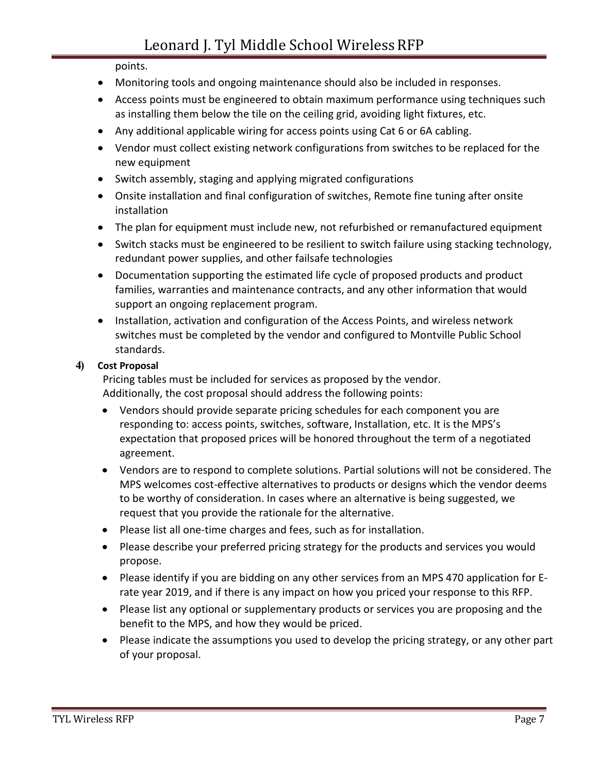points.

- Monitoring tools and ongoing maintenance should also be included in responses.
- Access points must be engineered to obtain maximum performance using techniques such as installing them below the tile on the ceiling grid, avoiding light fixtures, etc.
- Any additional applicable wiring for access points using Cat 6 or 6A cabling.
- Vendor must collect existing network configurations from switches to be replaced for the new equipment
- Switch assembly, staging and applying migrated configurations
- Onsite installation and final configuration of switches, Remote fine tuning after onsite installation
- The plan for equipment must include new, not refurbished or remanufactured equipment
- Switch stacks must be engineered to be resilient to switch failure using stacking technology, redundant power supplies, and other failsafe technologies
- Documentation supporting the estimated life cycle of proposed products and product families, warranties and maintenance contracts, and any other information that would support an ongoing replacement program.
- Installation, activation and configuration of the Access Points, and wireless network switches must be completed by the vendor and configured to Montville Public School standards.

### **4) Cost Proposal**

Pricing tables must be included for services as proposed by the vendor. Additionally, the cost proposal should address the following points:

- Vendors should provide separate pricing schedules for each component you are responding to: access points, switches, software, Installation, etc. It is the MPS's expectation that proposed prices will be honored throughout the term of a negotiated agreement.
- Vendors are to respond to complete solutions. Partial solutions will not be considered. The MPS welcomes cost-effective alternatives to products or designs which the vendor deems to be worthy of consideration. In cases where an alternative is being suggested, we request that you provide the rationale for the alternative.
- Please list all one-time charges and fees, such as for installation.
- Please describe your preferred pricing strategy for the products and services you would propose.
- Please identify if you are bidding on any other services from an MPS 470 application for Erate year 2019, and if there is any impact on how you priced your response to this RFP.
- Please list any optional or supplementary products or services you are proposing and the benefit to the MPS, and how they would be priced.
- Please indicate the assumptions you used to develop the pricing strategy, or any other part of your proposal.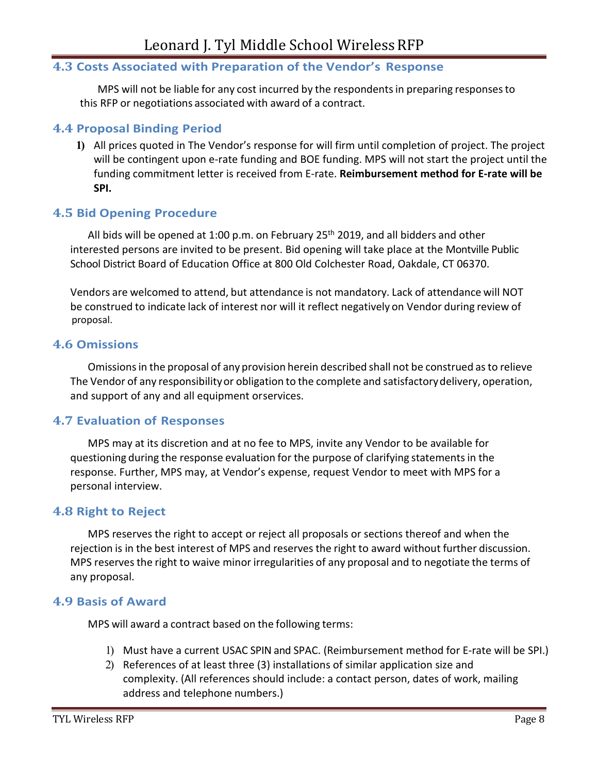#### **4.3 Costs Associated with Preparation of the Vendor's Response**

MPS will not be liable for any cost incurred by the respondentsin preparing responsesto this RFP or negotiations associated with award of a contract.

#### **4.4 Proposal Binding Period**

**1)** All prices quoted in The Vendor's response for will firm until completion of project. The project will be contingent upon e-rate funding and BOE funding. MPS will not start the project until the funding commitment letter is received from E-rate. **Reimbursement method for E-rate will be SPI.**

#### **4.5 Bid Opening Procedure**

All bids will be opened at 1:00 p.m. on February 25<sup>th</sup> 2019, and all bidders and other interested persons are invited to be present. Bid opening will take place at the Montville Public School District Board of Education Office at 800 Old Colchester Road, Oakdale, CT 06370.

Vendors are welcomed to attend, but attendance is not mandatory. Lack of attendance will NOT be construed to indicate lack of interest nor will it reflect negatively on Vendor during review of proposal.

#### **4.6 Omissions**

Omissions in the proposal of any provision herein described shall not be construed as to relieve The Vendor of any responsibilityor obligation to the complete and satisfactorydelivery, operation, and support of any and all equipment orservices.

#### **4.7 Evaluation of Responses**

MPS may at its discretion and at no fee to MPS, invite any Vendor to be available for questioning during the response evaluation for the purpose of clarifying statementsin the response. Further, MPS may, at Vendor's expense, request Vendor to meet with MPS for a personal interview.

#### **4.8 Right to Reject**

MPS reserves the right to accept or reject all proposals or sections thereof and when the rejection is in the best interest of MPS and reserves the right to award without further discussion. MPS reserves the right to waive minor irregularities of any proposal and to negotiate the terms of any proposal.

#### **4.9 Basis of Award**

MPS will award a contract based on the following terms:

- 1) Must have a current USAC SPIN and SPAC. (Reimbursement method for E-rate will be SPI.)
- 2) References of at least three (3) installations of similar application size and complexity. (All references should include: a contact person, dates of work, mailing address and telephone numbers.)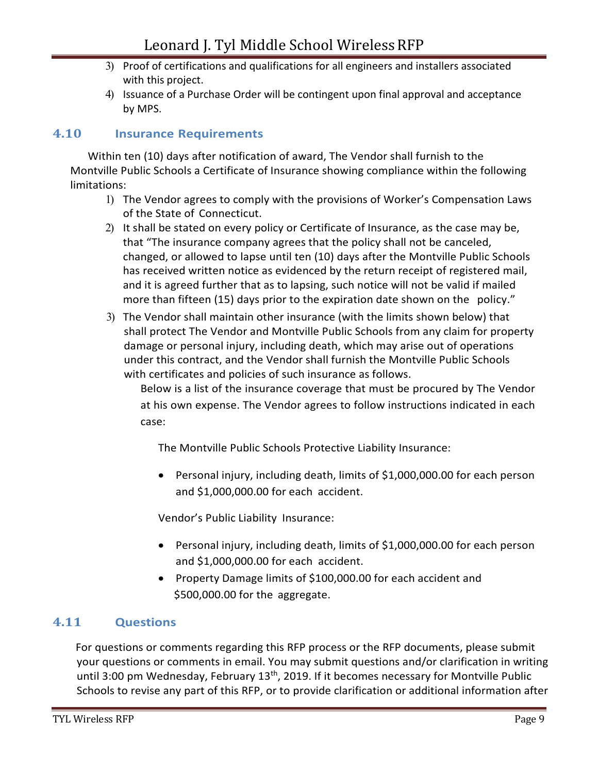- 3) Proof of certifications and qualifications for all engineers and installers associated with this project.
- 4) Issuance of a Purchase Order will be contingent upon final approval and acceptance by MPS.

## **4.10 Insurance Requirements**

Within ten (10) days after notification of award, The Vendor shall furnish to the Montville Public Schools a Certificate of Insurance showing compliance within the following limitations:

- 1) The Vendor agrees to comply with the provisions of Worker's Compensation Laws of the State of Connecticut.
- 2) It shall be stated on every policy or Certificate of Insurance, as the case may be, that "The insurance company agrees that the policy shall not be canceled, changed, or allowed to lapse until ten (10) days after the Montville Public Schools has received written notice as evidenced by the return receipt of registered mail, and it is agreed further that as to lapsing, such notice will not be valid if mailed more than fifteen (15) days prior to the expiration date shown on the policy."
- 3) The Vendor shall maintain other insurance (with the limits shown below) that shall protect The Vendor and Montville Public Schools from any claim for property damage or personal injury, including death, which may arise out of operations under this contract, and the Vendor shall furnish the Montville Public Schools with certificates and policies of such insurance as follows.

Below is a list of the insurance coverage that must be procured by The Vendor at his own expense. The Vendor agrees to follow instructions indicated in each case:

The Montville Public Schools Protective Liability Insurance:

• Personal injury, including death, limits of \$1,000,000.00 for each person and \$1,000,000.00 for each accident.

Vendor's Public Liability Insurance:

- Personal injury, including death, limits of \$1,000,000.00 for each person and \$1,000,000.00 for each accident.
- Property Damage limits of \$100,000.00 for each accident and \$500,000.00 for the aggregate.

## **4.11 Questions**

For questions or comments regarding this RFP process or the RFP documents, please submit your questions or comments in email. You may submit questions and/or clarification in writing until 3:00 pm Wednesday, February 13<sup>th</sup>, 2019. If it becomes necessary for Montville Public Schools to revise any part of this RFP, or to provide clarification or additional information after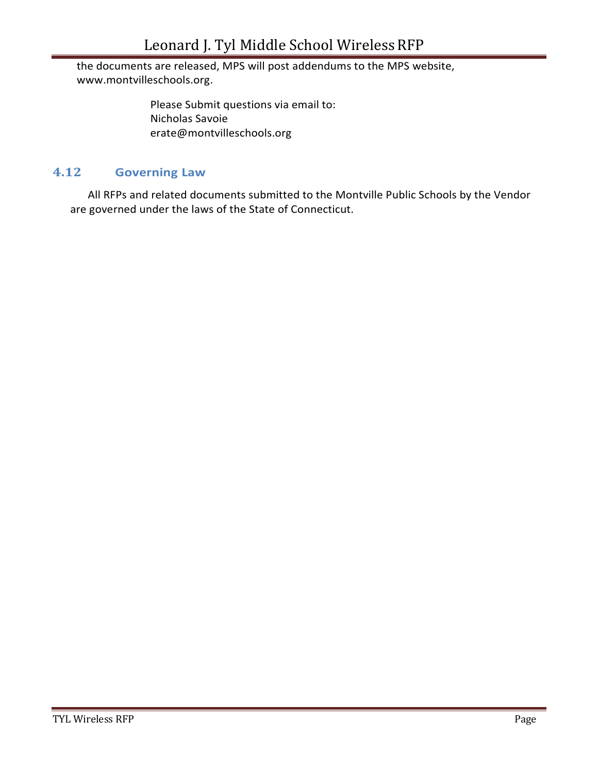the documents are released, MPS will post addendums to the MPS website, www.montvilleschools.org.

> Please Submit questions via email to: Nicholas Savoie erate@montvilleschools.org

### **4.12 Governing Law**

All RFPs and related documents submitted to the Montville Public Schools by the Vendor are governed under the laws of the State of Connecticut.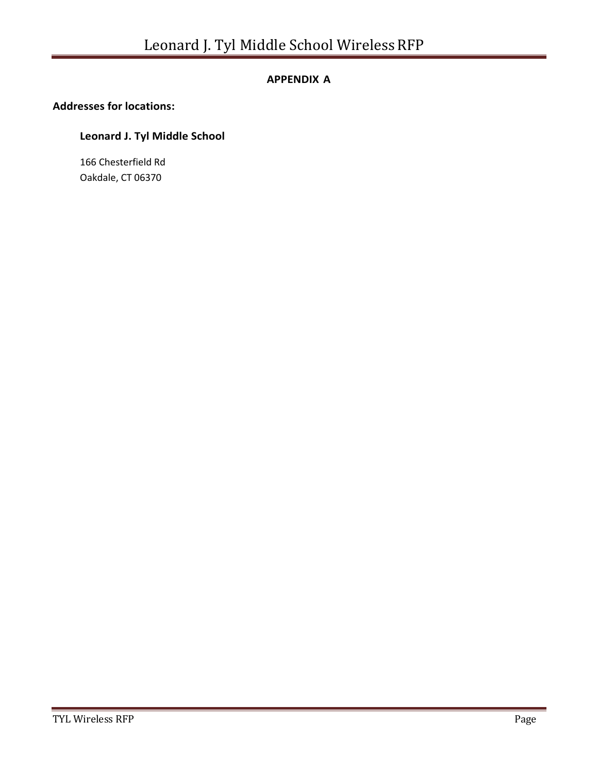#### **APPENDIX A**

#### **Addresses for locations:**

### **Leonard J. Tyl Middle School**

166 Chesterfield Rd Oakdale, CT 06370